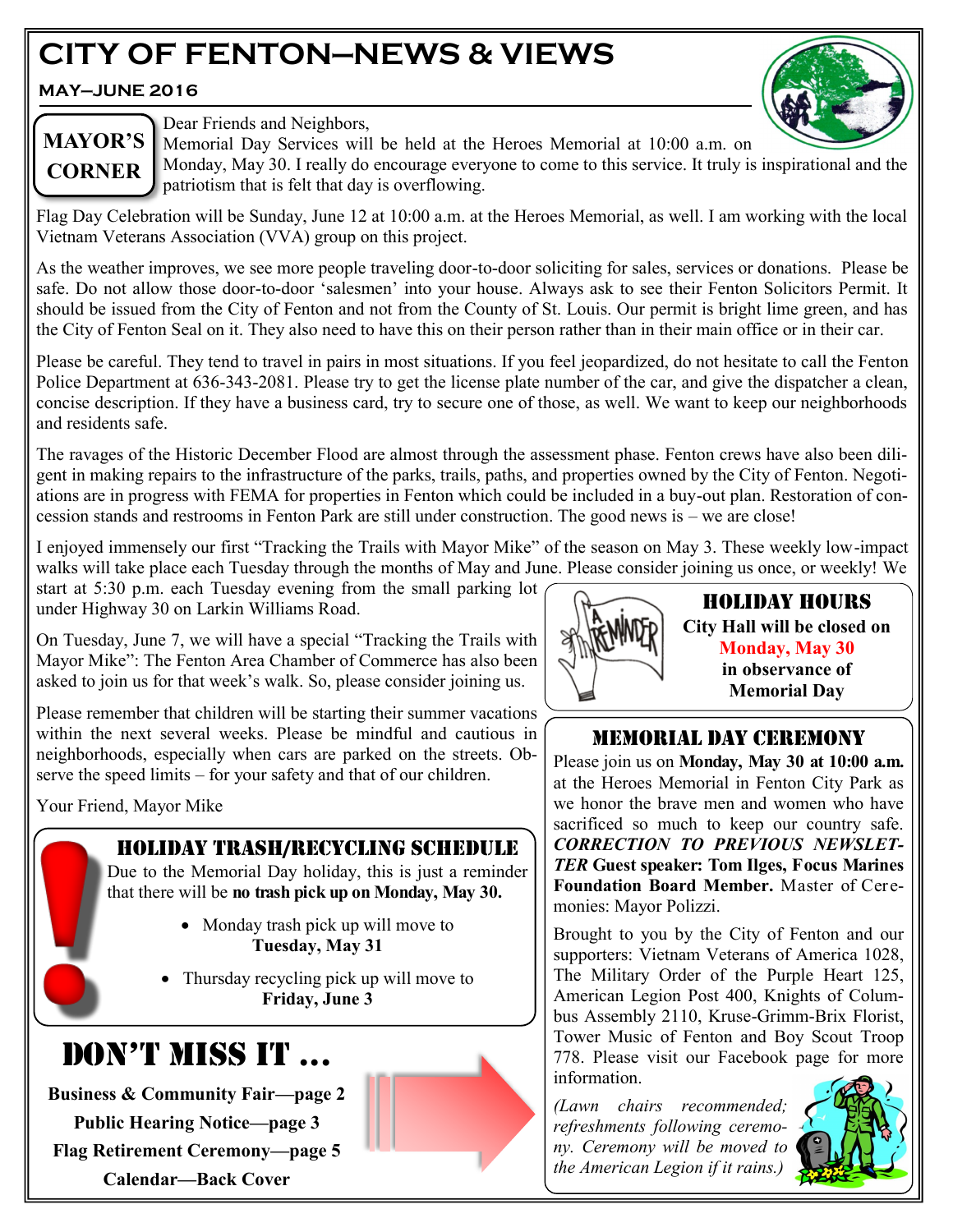# **CITY OF FENTON—NEWS & VIEWS**

**MAY—JUNE 2016**



# **MAYOR'S CORNER**

Dear Friends and Neighbors,

Memorial Day Services will be held at the Heroes Memorial at 10:00 a.m. on Monday, May 30. I really do encourage everyone to come to this service. It truly is inspirational and the patriotism that is felt that day is overflowing.

Flag Day Celebration will be Sunday, June 12 at 10:00 a.m. at the Heroes Memorial, as well. I am working with the local Vietnam Veterans Association (VVA) group on this project.

As the weather improves, we see more people traveling door-to-door soliciting for sales, services or donations. Please be safe. Do not allow those door-to-door 'salesmen' into your house. Always ask to see their Fenton Solicitors Permit. It should be issued from the City of Fenton and not from the County of St. Louis. Our permit is bright lime green, and has the City of Fenton Seal on it. They also need to have this on their person rather than in their main office or in their car.

Please be careful. They tend to travel in pairs in most situations. If you feel jeopardized, do not hesitate to call the Fenton Police Department at 636-343-2081. Please try to get the license plate number of the car, and give the dispatcher a clean, concise description. If they have a business card, try to secure one of those, as well. We want to keep our neighborhoods and residents safe.

The ravages of the Historic December Flood are almost through the assessment phase. Fenton crews have also been diligent in making repairs to the infrastructure of the parks, trails, paths, and properties owned by the City of Fenton. Negotiations are in progress with FEMA for properties in Fenton which could be included in a buy-out plan. Restoration of concession stands and restrooms in Fenton Park are still under construction. The good news is – we are close!

I enjoyed immensely our first "Tracking the Trails with Mayor Mike" of the season on May 3. These weekly low-impact walks will take place each Tuesday through the months of May and June. Please consider joining us once, or weekly! We

start at 5:30 p.m. each Tuesday evening from the small parking lot under Highway 30 on Larkin Williams Road.

On Tuesday, June 7, we will have a special "Tracking the Trails with Mayor Mike": The Fenton Area Chamber of Commerce has also been asked to join us for that week's walk. So, please consider joining us.

Please remember that children will be starting their summer vacations within the next several weeks. Please be mindful and cautious in neighborhoods, especially when cars are parked on the streets. Observe the speed limits – for your safety and that of our children.

Your Friend, Mayor Mike

## HOLIDAY TRASH/RECYCLING SCHEDULE

Due to the Memorial Day holiday, this is just a reminder that there will be **no trash pick up on Monday, May 30.**

- Monday trash pick up will move to **Tuesday, May 31**
- Thursday recycling pick up will move to **Friday, June 3**

# DON'T MISS IT ...

**Business & Community Fair—page 2 Public Hearing Notice—page 3 Flag Retirement Ceremony—page 5 Calendar—Back Cover**





HOLIDAY HOURS **City Hall will be closed on Monday, May 30 in observance of Memorial Day**

## Memorial day ceremony

Please join us on **Monday, May 30 at 10:00 a.m.**  at the Heroes Memorial in Fenton City Park as we honor the brave men and women who have sacrificed so much to keep our country safe. *CORRECTION TO PREVIOUS NEWSLET-TER* **Guest speaker: Tom Ilges, Focus Marines Foundation Board Member.** Master of Ceremonies: Mayor Polizzi.

Brought to you by the City of Fenton and our supporters: Vietnam Veterans of America 1028, The Military Order of the Purple Heart 125, American Legion Post 400, Knights of Columbus Assembly 2110, Kruse-Grimm-Brix Florist, Tower Music of Fenton and Boy Scout Troop 778. Please visit our Facebook page for more information.

*(Lawn chairs recommended; refreshments following ceremony. Ceremony will be moved to the American Legion if it rains.)*

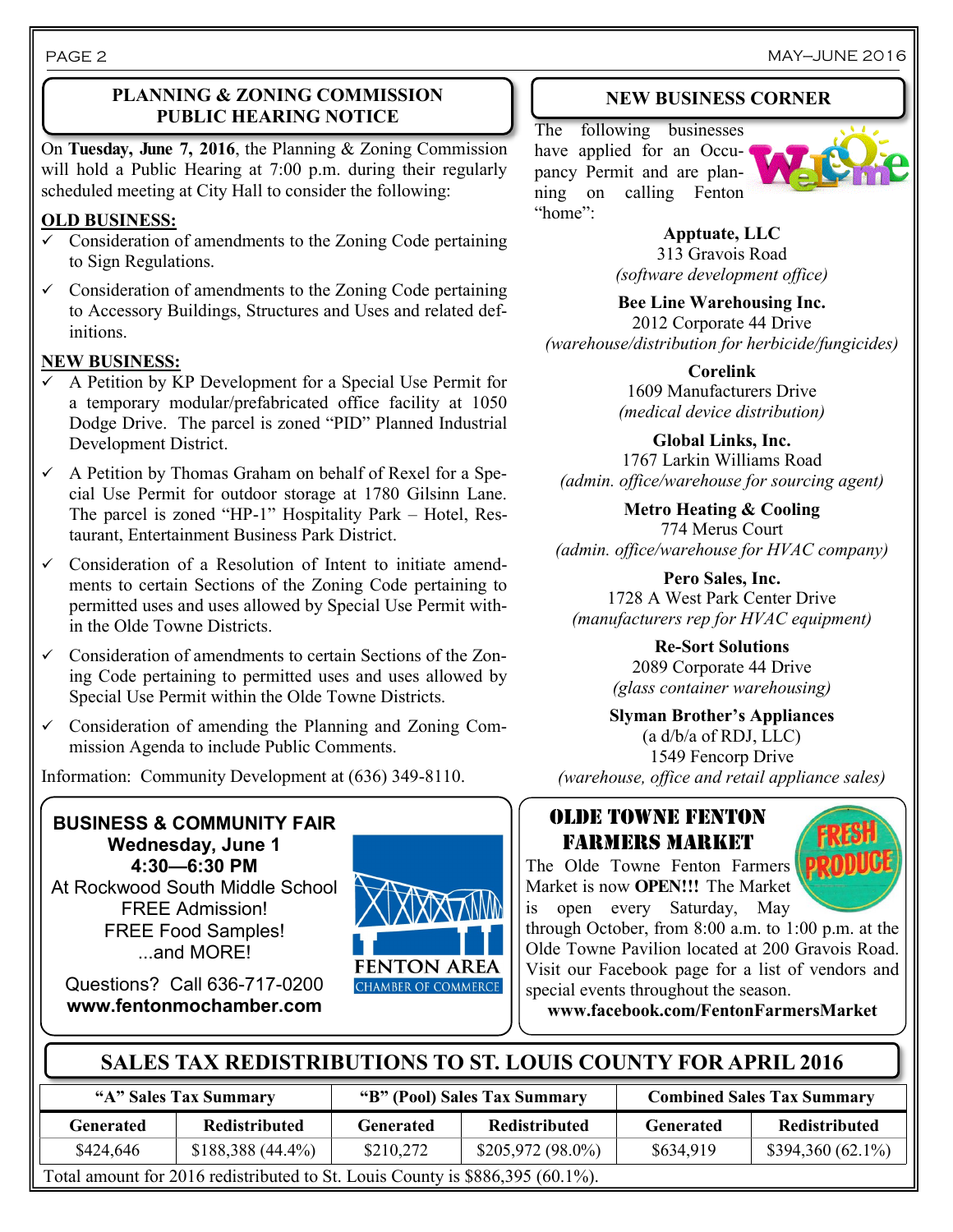#### **PLANNING & ZONING COMMISSION PUBLIC HEARING NOTICE**

On **Tuesday, June 7, 2016**, the Planning & Zoning Commission will hold a Public Hearing at 7:00 p.m. during their regularly scheduled meeting at City Hall to consider the following:

#### **OLD BUSINESS:**

- $\overline{\smash{\checkmark}}$  Consideration of amendments to the Zoning Code pertaining to Sign Regulations.
- $\checkmark$  Consideration of amendments to the Zoning Code pertaining to Accessory Buildings, Structures and Uses and related definitions.

#### **NEW BUSINESS:**

- $\checkmark$  A Petition by KP Development for a Special Use Permit for a temporary modular/prefabricated office facility at 1050 Dodge Drive. The parcel is zoned "PID" Planned Industrial Development District.
- $\checkmark$  A Petition by Thomas Graham on behalf of Rexel for a Special Use Permit for outdoor storage at 1780 Gilsinn Lane. The parcel is zoned "HP-1" Hospitality Park – Hotel, Restaurant, Entertainment Business Park District.
- $\checkmark$  Consideration of a Resolution of Intent to initiate amendments to certain Sections of the Zoning Code pertaining to permitted uses and uses allowed by Special Use Permit within the Olde Towne Districts.
- $\checkmark$  Consideration of amendments to certain Sections of the Zoning Code pertaining to permitted uses and uses allowed by Special Use Permit within the Olde Towne Districts.
- $\checkmark$  Consideration of amending the Planning and Zoning Commission Agenda to include Public Comments.

Information: Community Development at (636) 349-8110.

**BUSINESS & COMMUNITY FAIR Wednesday, June 1 4:30—6:30 PM** At Rockwood South Middle School FREE Admission! FREE Food Samples! ...and MORE!



Questions? Call 636-717-0200 **www.fentonmochamber.com**

### **NEW BUSINESS CORNER**

The following businesses have applied for an Occupancy Permit and are planning on calling Fenton "home":



**Apptuate, LLC** 313 Gravois Road *(software development office)*

**Bee Line Warehousing Inc.** 2012 Corporate 44 Drive *(warehouse/distribution for herbicide/fungicides)*

> **Corelink** 1609 Manufacturers Drive *(medical device distribution)*

**Global Links, Inc.** 1767 Larkin Williams Road *(admin. office/warehouse for sourcing agent)*

**Metro Heating & Cooling** 774 Merus Court *(admin. office/warehouse for HVAC company)*

**Pero Sales, Inc.** 1728 A West Park Center Drive *(manufacturers rep for HVAC equipment)*

> **Re-Sort Solutions** 2089 Corporate 44 Drive *(glass container warehousing)*

**Slyman Brother's Appliances** (a d/b/a of RDJ, LLC) 1549 Fencorp Drive *(warehouse, office and retail appliance sales)*

## OLDE TOWNE FENTON FARMERS MARKET

The Olde Towne Fenton Farmers Market is now **OPEN!!!** The Market is open every Saturday, May



through October, from 8:00 a.m. to 1:00 p.m. at the Olde Towne Pavilion located at 200 Gravois Road. Visit our Facebook page for a list of vendors and special events throughout the season.

**www.facebook.com/FentonFarmersMarket**

## **SALES TAX REDISTRIBUTIONS TO ST. LOUIS COUNTY FOR APRIL 2016**

| "A" Sales Tax Summary                                                         |                      | "B" (Pool) Sales Tax Summary |                      | <b>Combined Sales Tax Summary</b> |                      |  |
|-------------------------------------------------------------------------------|----------------------|------------------------------|----------------------|-----------------------------------|----------------------|--|
| Generated                                                                     | <b>Redistributed</b> | <b>Generated</b>             | <b>Redistributed</b> | Generated                         | <b>Redistributed</b> |  |
| \$424,646                                                                     | $$188,388(44.4\%)$   | \$210,272                    | $$205,972(98.0\%)$   | \$634,919                         | $$394,360(62.1\%)$   |  |
| Total amount for 2016 redistributed to St. Louis County is \$886,395 (60.1%). |                      |                              |                      |                                   |                      |  |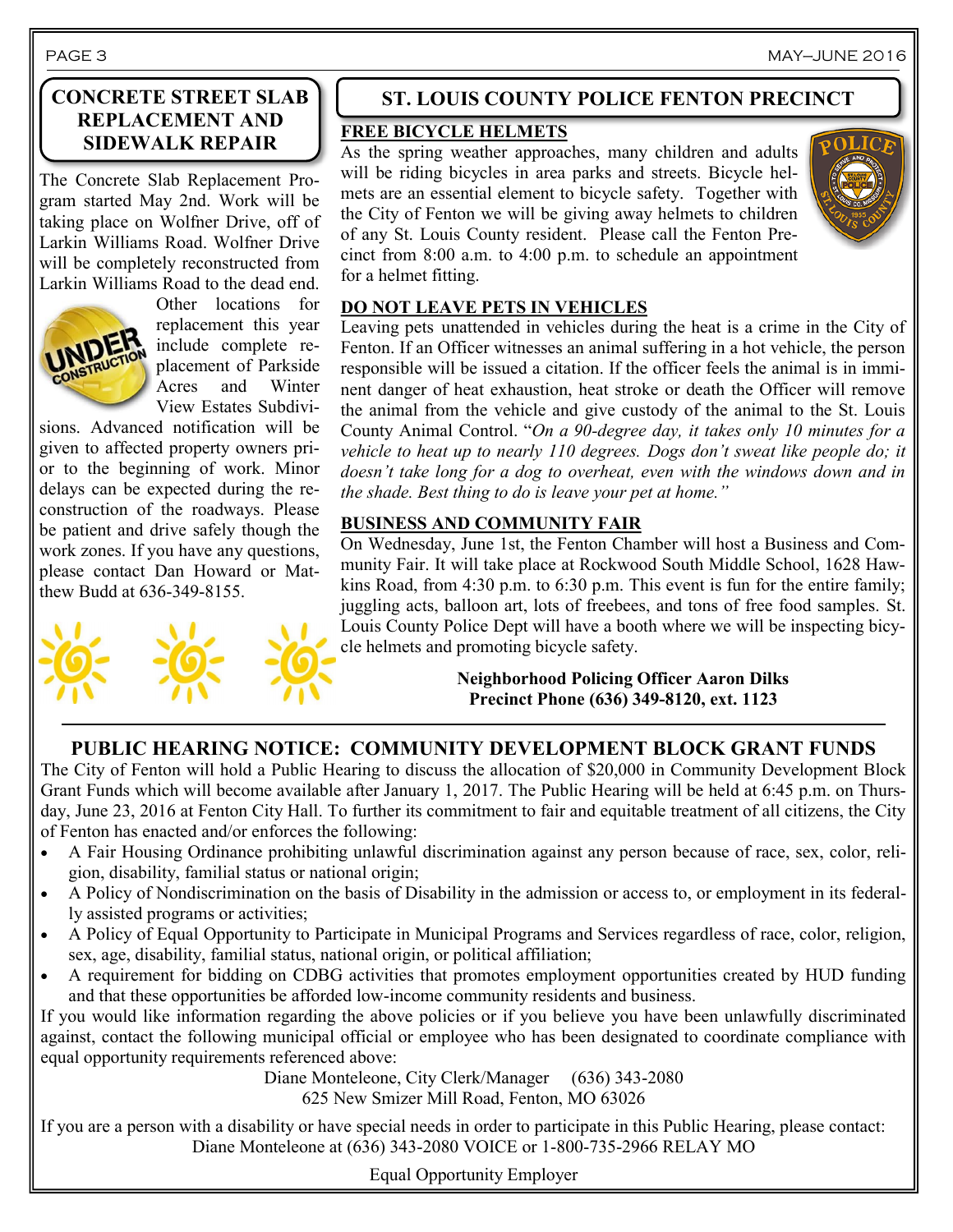#### **CONCRETE STREET SLAB REPLACEMENT AND SIDEWALK REPAIR**

The Concrete Slab Replacement Program started May 2nd. Work will be taking place on Wolfner Drive, off of Larkin Williams Road. Wolfner Drive will be completely reconstructed from Larkin Williams Road to the dead end.



Other locations for replacement this year include complete replacement of Parkside Acres and Winter View Estates Subdivi-

sions. Advanced notification will be given to affected property owners prior to the beginning of work. Minor delays can be expected during the reconstruction of the roadways. Please be patient and drive safely though the work zones. If you have any questions, please contact Dan Howard or Matthew Budd at 636-349-8155.



## **ST. LOUIS COUNTY POLICE FENTON PRECINCT**

## **FREE BICYCLE HELMETS**

As the spring weather approaches, many children and adults will be riding bicycles in area parks and streets. Bicycle helmets are an essential element to bicycle safety. Together with the City of Fenton we will be giving away helmets to children of any St. Louis County resident. Please call the Fenton Precinct from 8:00 a.m. to 4:00 p.m. to schedule an appointment for a helmet fitting.



#### **DO NOT LEAVE PETS IN VEHICLES**

Leaving pets unattended in vehicles during the heat is a crime in the City of Fenton. If an Officer witnesses an animal suffering in a hot vehicle, the person responsible will be issued a citation. If the officer feels the animal is in imminent danger of heat exhaustion, heat stroke or death the Officer will remove the animal from the vehicle and give custody of the animal to the St. Louis County Animal Control. "*On a 90-degree day, it takes only 10 minutes for a vehicle to heat up to nearly 110 degrees. Dogs don't sweat like people do; it doesn't take long for a dog to overheat, even with the windows down and in the shade. Best thing to do is leave your pet at home."*

#### **BUSINESS AND COMMUNITY FAIR**

On Wednesday, June 1st, the Fenton Chamber will host a Business and Community Fair. It will take place at Rockwood South Middle School, 1628 Hawkins Road, from 4:30 p.m. to 6:30 p.m. This event is fun for the entire family; juggling acts, balloon art, lots of freebees, and tons of free food samples. St. Louis County Police Dept will have a booth where we will be inspecting bicycle helmets and promoting bicycle safety.

> **Neighborhood Policing Officer Aaron Dilks Precinct Phone (636) 349-8120, ext. 1123**

## **PUBLIC HEARING NOTICE: COMMUNITY DEVELOPMENT BLOCK GRANT FUNDS**

The City of Fenton will hold a Public Hearing to discuss the allocation of \$20,000 in Community Development Block Grant Funds which will become available after January 1, 2017. The Public Hearing will be held at 6:45 p.m. on Thursday, June 23, 2016 at Fenton City Hall. To further its commitment to fair and equitable treatment of all citizens, the City of Fenton has enacted and/or enforces the following:

- A Fair Housing Ordinance prohibiting unlawful discrimination against any person because of race, sex, color, religion, disability, familial status or national origin;
- A Policy of Nondiscrimination on the basis of Disability in the admission or access to, or employment in its federally assisted programs or activities;
- A Policy of Equal Opportunity to Participate in Municipal Programs and Services regardless of race, color, religion, sex, age, disability, familial status, national origin, or political affiliation;
- A requirement for bidding on CDBG activities that promotes employment opportunities created by HUD funding and that these opportunities be afforded low-income community residents and business.

If you would like information regarding the above policies or if you believe you have been unlawfully discriminated against, contact the following municipal official or employee who has been designated to coordinate compliance with equal opportunity requirements referenced above:

Diane Monteleone, City Clerk/Manager (636) 343-2080

625 New Smizer Mill Road, Fenton, MO 63026

If you are a person with a disability or have special needs in order to participate in this Public Hearing, please contact: Diane Monteleone at (636) 343-2080 VOICE or 1-800-735-2966 RELAY MO

Equal Opportunity Employer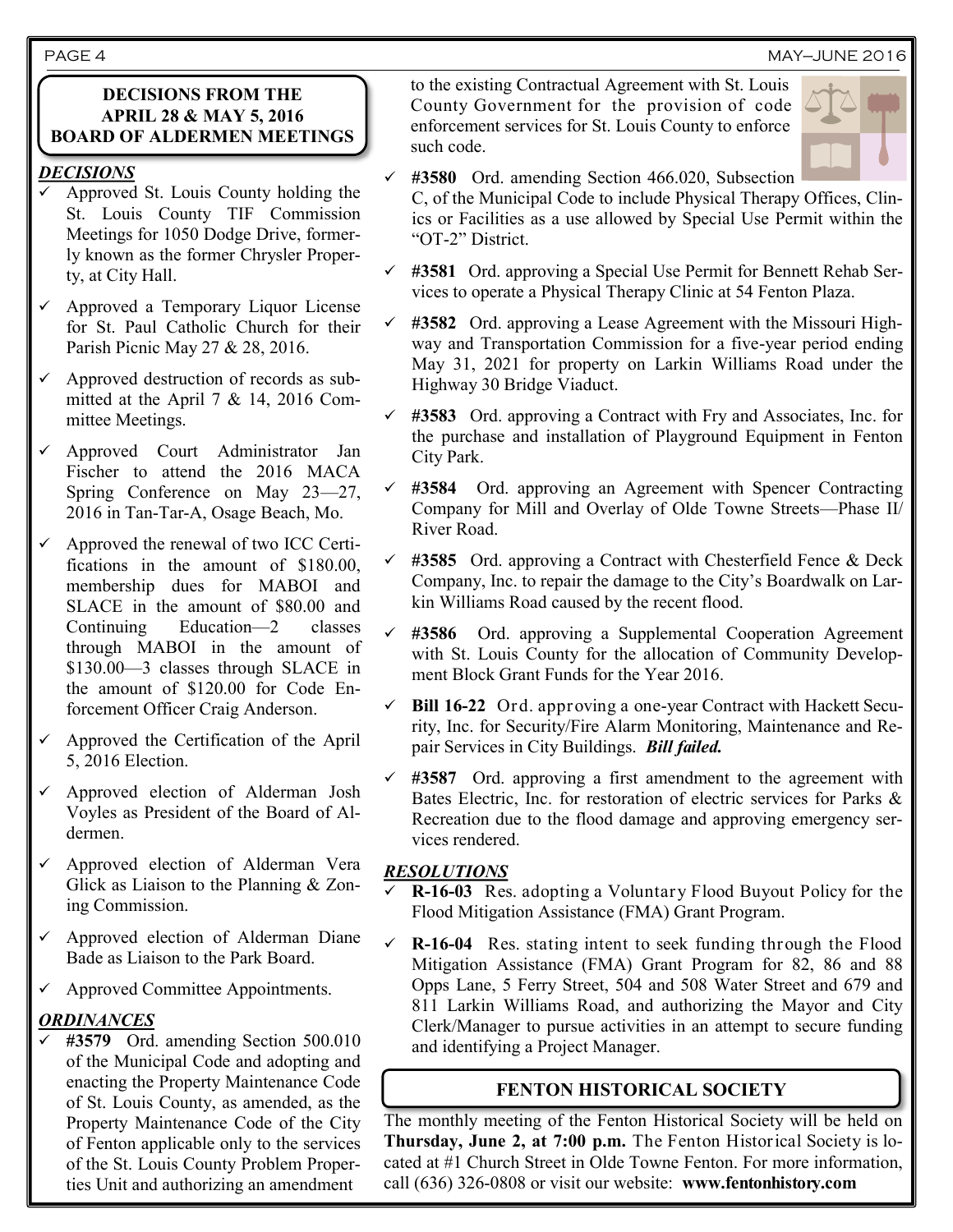#### PAGE 4 MAY—JUNE 2016

#### **DECISIONS FROM THE APRIL 28 & MAY 5, 2016 BOARD OF ALDERMEN MEETINGS**

#### *DECISIONS*

- Approved St. Louis County holding the St. Louis County TIF Commission Meetings for 1050 Dodge Drive, formerly known as the former Chrysler Property, at City Hall.
- $\checkmark$  Approved a Temporary Liquor License for St. Paul Catholic Church for their Parish Picnic May 27 & 28, 2016.
- $\checkmark$  Approved destruction of records as submitted at the April 7 & 14, 2016 Committee Meetings.
- Approved Court Administrator Jan Fischer to attend the 2016 MACA Spring Conference on May 23—27, 2016 in Tan-Tar-A, Osage Beach, Mo.
- Approved the renewal of two ICC Certifications in the amount of \$180.00, membership dues for MABOI and SLACE in the amount of \$80.00 and Continuing Education—2 classes through MABOI in the amount of \$130.00—3 classes through SLACE in the amount of \$120.00 for Code Enforcement Officer Craig Anderson.
- Approved the Certification of the April 5, 2016 Election.
- $\checkmark$  Approved election of Alderman Josh Voyles as President of the Board of Aldermen.
- $\checkmark$  Approved election of Alderman Vera Glick as Liaison to the Planning & Zoning Commission.
- Approved election of Alderman Diane Bade as Liaison to the Park Board.
- $\checkmark$  Approved Committee Appointments.

#### *ORDINANCES*

 **#3579** Ord. amending Section 500.010 of the Municipal Code and adopting and enacting the Property Maintenance Code of St. Louis County, as amended, as the Property Maintenance Code of the City of Fenton applicable only to the services of the St. Louis County Problem Properties Unit and authorizing an amendment

 to the existing Contractual Agreement with St. Louis County Government for the provision of code enforcement services for St. Louis County to enforce such code.



- **#3580** Ord. amending Section 466.020, Subsection C, of the Municipal Code to include Physical Therapy Offices, Clinics or Facilities as a use allowed by Special Use Permit within the "OT-2" District.
- **#3581** Ord. approving a Special Use Permit for Bennett Rehab Services to operate a Physical Therapy Clinic at 54 Fenton Plaza.
- **#3582** Ord. approving a Lease Agreement with the Missouri Highway and Transportation Commission for a five-year period ending May 31, 2021 for property on Larkin Williams Road under the Highway 30 Bridge Viaduct.
- **#3583** Ord. approving a Contract with Fry and Associates, Inc. for the purchase and installation of Playground Equipment in Fenton City Park.
- **#3584** Ord. approving an Agreement with Spencer Contracting Company for Mill and Overlay of Olde Towne Streets—Phase II/ River Road.
- **#3585** Ord. approving a Contract with Chesterfield Fence & Deck Company, Inc. to repair the damage to the City's Boardwalk on Larkin Williams Road caused by the recent flood.
- **#3586** Ord. approving a Supplemental Cooperation Agreement with St. Louis County for the allocation of Community Development Block Grant Funds for the Year 2016.
- **Bill 16-22** Ord. approving a one-year Contract with Hackett Security, Inc. for Security/Fire Alarm Monitoring, Maintenance and Repair Services in City Buildings. *Bill failed.*
- **#3587** Ord. approving a first amendment to the agreement with Bates Electric, Inc. for restoration of electric services for Parks & Recreation due to the flood damage and approving emergency services rendered.

#### *RESOLUTIONS*

- **R-16-03** Res. adopting a Voluntary Flood Buyout Policy for the Flood Mitigation Assistance (FMA) Grant Program.
- $\checkmark$  **R-16-04** Res. stating intent to seek funding through the Flood Mitigation Assistance (FMA) Grant Program for 82, 86 and 88 Opps Lane, 5 Ferry Street, 504 and 508 Water Street and 679 and 811 Larkin Williams Road, and authorizing the Mayor and City Clerk/Manager to pursue activities in an attempt to secure funding and identifying a Project Manager.

#### **FENTON HISTORICAL SOCIETY**

The monthly meeting of the Fenton Historical Society will be held on **Thursday, June 2, at 7:00 p.m.** The Fenton Historical Society is located at #1 Church Street in Olde Towne Fenton. For more information, call (636) 326-0808 or visit our website: **www.fentonhistory.com**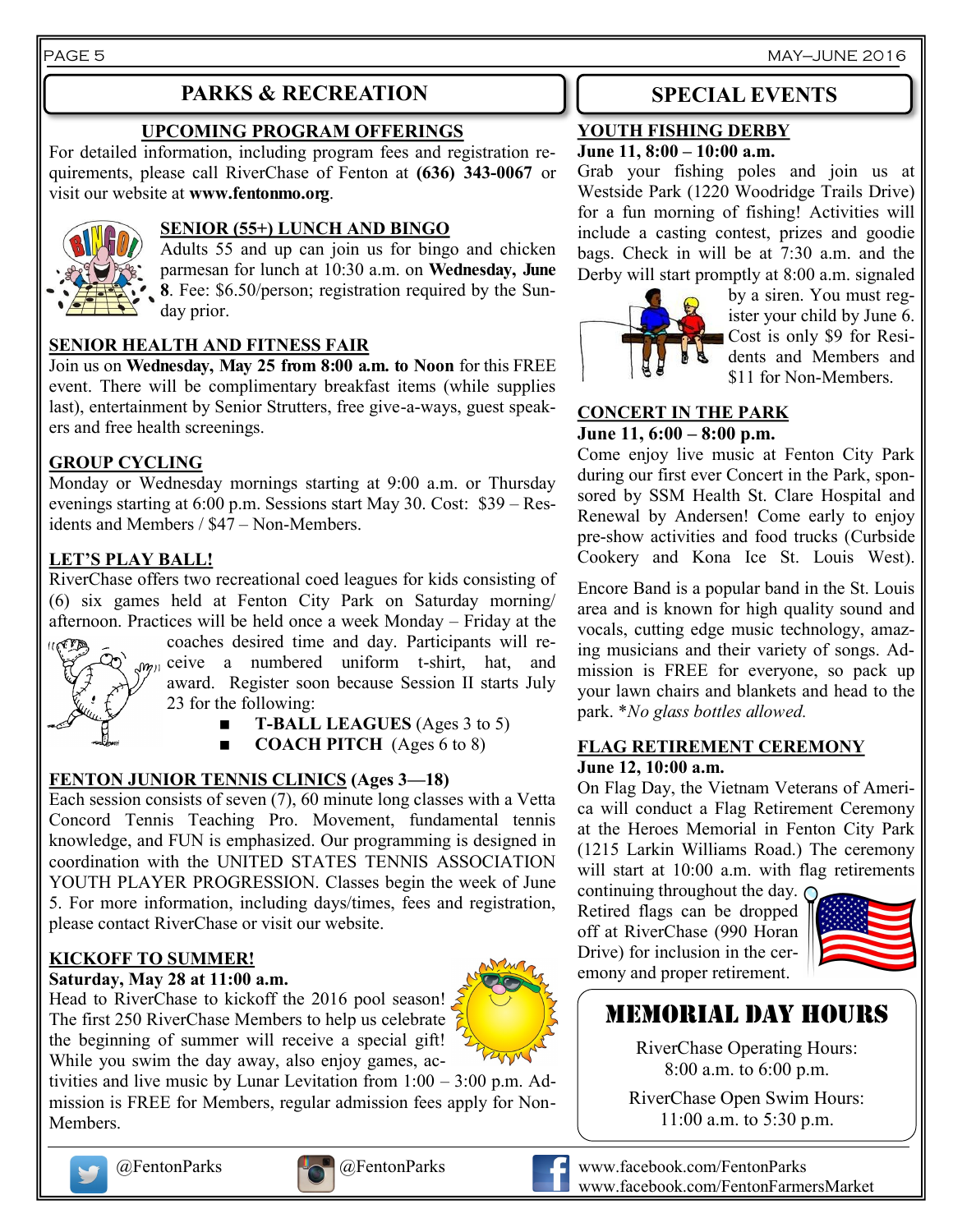PAGE 5 MAY—JUNE 2016

## **PARKS & RECREATION SPECIAL EVENTS**

### **UPCOMING PROGRAM OFFERINGS**

For detailed information, including program fees and registration requirements, please call RiverChase of Fenton at **(636) 343-0067** or visit our website at **www.fentonmo.org**.



#### **SENIOR (55+) LUNCH AND BINGO**

Adults 55 and up can join us for bingo and chicken parmesan for lunch at 10:30 a.m. on **Wednesday, June 8**. Fee: \$6.50/person; registration required by the Sunday prior.

#### **SENIOR HEALTH AND FITNESS FAIR**

Join us on **Wednesday, May 25 from 8:00 a.m. to Noon** for this FREE event. There will be complimentary breakfast items (while supplies last), entertainment by Senior Strutters, free give-a-ways, guest speakers and free health screenings.

### **GROUP CYCLING**

Monday or Wednesday mornings starting at 9:00 a.m. or Thursday evenings starting at 6:00 p.m. Sessions start May 30. Cost: \$39 – Residents and Members / \$47 – Non-Members.

### **LET'S PLAY BALL!**

RiverChase offers two recreational coed leagues for kids consisting of (6) six games held at Fenton City Park on Saturday morning/ afternoon. Practices will be held once a week Monday – Friday at the



coaches desired time and day. Participants will re $m_{\text{min}}$  ceive a numbered uniform t-shirt, hat, and award. Register soon because Session II starts July 23 for the following:

- 
- **T-BALL LEAGUES** (Ages 3 to 5)
	- **COACH PITCH** (Ages 6 to 8)

#### **FENTON JUNIOR TENNIS CLINICS (Ages 3—18)**

Each session consists of seven (7), 60 minute long classes with a Vetta Concord Tennis Teaching Pro. Movement, fundamental tennis knowledge, and FUN is emphasized. Our programming is designed in coordination with the UNITED STATES TENNIS ASSOCIATION YOUTH PLAYER PROGRESSION. Classes begin the week of June 5. For more information, including days/times, fees and registration, please contact RiverChase or visit our website.

#### **KICKOFF TO SUMMER!**

#### **Saturday, May 28 at 11:00 a.m.**

Head to RiverChase to kickoff the 2016 pool season! The first 250 RiverChase Members to help us celebrate the beginning of summer will receive a special gift! While you swim the day away, also enjoy games, ac-







#### **YOUTH FISHING DERBY June 11, 8:00 – 10:00 a.m.**

Grab your fishing poles and join us at Westside Park (1220 Woodridge Trails Drive) for a fun morning of fishing! Activities will include a casting contest, prizes and goodie bags. Check in will be at 7:30 a.m. and the Derby will start promptly at 8:00 a.m. signaled



by a siren. You must register your child by June 6. Cost is only \$9 for Residents and Members and \$11 for Non-Members.

#### **CONCERT IN THE PARK June 11, 6:00 – 8:00 p.m.**

Come enjoy live music at Fenton City Park during our first ever Concert in the Park, sponsored by [SSM](https://www.facebook.com/SSM-Health-St-Clare-Hospital-Fenton-274621302553438/) Health St. Clare Hospital and [Renewal](https://www.facebook.com/renewalbyandersenstl/) by Andersen! Come early to enjoy pre-show activities and food trucks ([Curbside](https://www.facebook.com/CurbsideCookery/)  [Cookery](https://www.facebook.com/CurbsideCookery/) and [Kona Ice St. Louis West\)](https://www.facebook.com/Kona-Ice-St-Louis-West-317912544890338/).

Encore Band is a popular band in the St. Louis area and is known for high quality sound and vocals, cutting edge music technology, amazing musicians and their variety of songs. Admission is FREE for everyone, so pack up your lawn chairs and blankets and head to the park. \**No glass bottles allowed.*

#### **FLAG RETIREMENT CEREMONY June 12, 10:00 a.m.**

On Flag Day, the Vietnam Veterans of America will conduct a Flag Retirement Ceremony at the Heroes Memorial in Fenton City Park (1215 Larkin Williams Road.) The ceremony will start at 10:00 a.m. with flag retirements

continuing throughout the day.  $\bigcap$ Retired flags can be dropped off at RiverChase (990 Horan Drive) for inclusion in the ceremony and proper retirement.



## memorial day hours

RiverChase Operating Hours: 8:00 a.m. to 6:00 p.m.

RiverChase Open Swim Hours: 11:00 a.m. to 5:30 p.m.



@FentonParks @FentonParks www.facebook.com/FentonParks www.facebook.com/FentonFarmersMarket